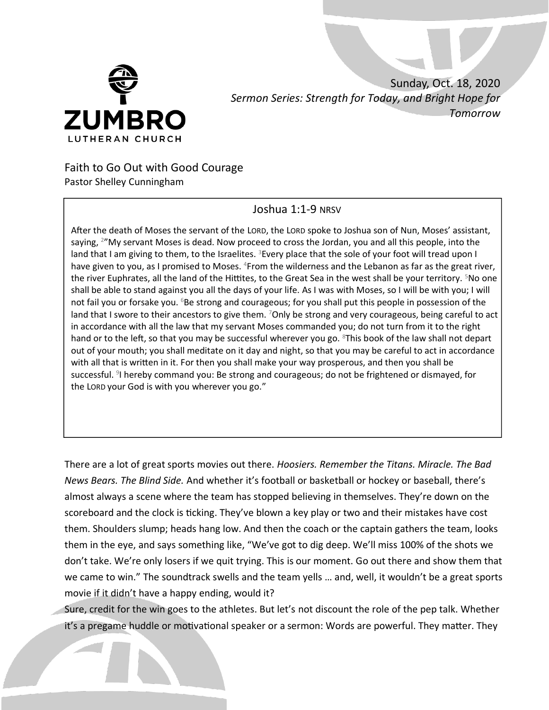

 Sunday, Oct. 18, 2020  *Sermon Series: Strength for Today, and Bright Hope for Tomorrow*

## Faith to Go Out with Good Courage Pastor Shelley Cunningham

## Joshua 1:1-9 NRSV

After the death of Moses the servant of the LORD, the LORD spoke to Joshua son of Nun, Moses' assistant, saying, <sup>2</sup>"My servant Moses is dead. Now proceed to cross the Jordan, you and all this people, into the land that I am giving to them, to the Israelites. <sup>3</sup>Every place that the sole of your foot will tread upon I have given to you, as I promised to Moses. <sup>4</sup>From the wilderness and the Lebanon as far as the great river, the river Euphrates, all the land of the Hittites, to the Great Sea in the west shall be your territory. <sup>5</sup>No one shall be able to stand against you all the days of your life. As I was with Moses, so I will be with you; I will not fail you or forsake you. <sup>6</sup>Be strong and courageous; for you shall put this people in possession of the land that I swore to their ancestors to give them. <sup>7</sup>Only be strong and very courageous, being careful to act in accordance with all the law that my servant Moses commanded you; do not turn from it to the right hand or to the left, so that you may be successful wherever you go. <sup>8</sup>This book of the law shall not depart out of your mouth; you shall meditate on it day and night, so that you may be careful to act in accordance with all that is written in it. For then you shall make your way prosperous, and then you shall be successful. <sup>9</sup>I hereby command you: Be strong and courageous; do not be frightened or dismayed, for the LORD your God is with you wherever you go."

There are a lot of great sports movies out there. *Hoosiers. Remember the Titans. Miracle. The Bad News Bears. The Blind Side.* And whether it's football or basketball or hockey or baseball, there's almost always a scene where the team has stopped believing in themselves. They're down on the scoreboard and the clock is ticking. They've blown a key play or two and their mistakes have cost them. Shoulders slump; heads hang low. And then the coach or the captain gathers the team, looks them in the eye, and says something like, "We've got to dig deep. We'll miss 100% of the shots we don't take. We're only losers if we quit trying. This is our moment. Go out there and show them that we came to win." The soundtrack swells and the team yells … and, well, it wouldn't be a great sports movie if it didn't have a happy ending, would it?

Sure, credit for the win goes to the athletes. But let's not discount the role of the pep talk. Whether it's a pregame huddle or motivational speaker or a sermon: Words are powerful. They matter. They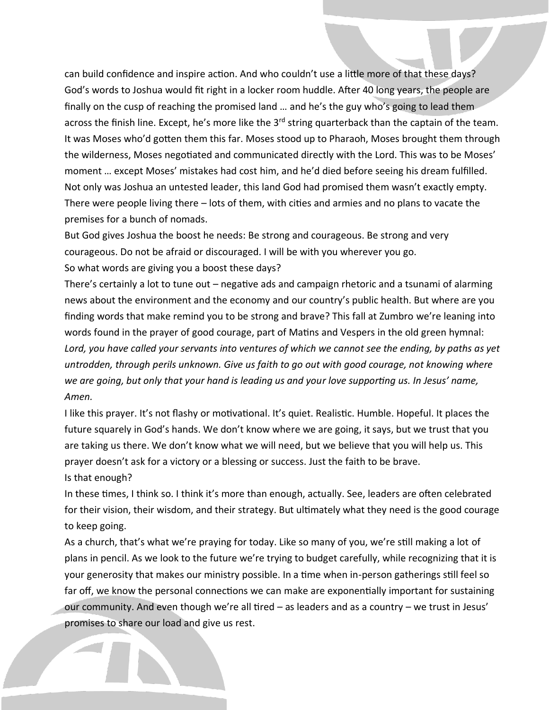can build confidence and inspire action. And who couldn't use a little more of that these days? God's words to Joshua would fit right in a locker room huddle. After 40 long years, the people are finally on the cusp of reaching the promised land … and he's the guy who's going to lead them across the finish line. Except, he's more like the 3<sup>rd</sup> string quarterback than the captain of the team. It was Moses who'd gotten them this far. Moses stood up to Pharaoh, Moses brought them through the wilderness, Moses negotiated and communicated directly with the Lord. This was to be Moses' moment … except Moses' mistakes had cost him, and he'd died before seeing his dream fulfilled. Not only was Joshua an untested leader, this land God had promised them wasn't exactly empty. There were people living there – lots of them, with cities and armies and no plans to vacate the premises for a bunch of nomads.

But God gives Joshua the boost he needs: Be strong and courageous. Be strong and very courageous. Do not be afraid or discouraged. I will be with you wherever you go. So what words are giving you a boost these days?

There's certainly a lot to tune out – negative ads and campaign rhetoric and a tsunami of alarming news about the environment and the economy and our country's public health. But where are you finding words that make remind you to be strong and brave? This fall at Zumbro we're leaning into words found in the prayer of good courage, part of Matins and Vespers in the old green hymnal: *Lord, you have called your servants into ventures of which we cannot see the ending, by paths as yet untrodden, through perils unknown. Give us faith to go out with good courage, not knowing where we are going, but only that your hand is leading us and your love supporting us. In Jesus' name, Amen.*

I like this prayer. It's not flashy or motivational. It's quiet. Realistic. Humble. Hopeful. It places the future squarely in God's hands. We don't know where we are going, it says, but we trust that you are taking us there. We don't know what we will need, but we believe that you will help us. This prayer doesn't ask for a victory or a blessing or success. Just the faith to be brave. Is that enough?

In these times, I think so. I think it's more than enough, actually. See, leaders are often celebrated for their vision, their wisdom, and their strategy. But ultimately what they need is the good courage to keep going.

As a church, that's what we're praying for today. Like so many of you, we're still making a lot of plans in pencil. As we look to the future we're trying to budget carefully, while recognizing that it is your generosity that makes our ministry possible. In a time when in-person gatherings still feel so far off, we know the personal connections we can make are exponentially important for sustaining our community. And even though we're all tired – as leaders and as a country – we trust in Jesus' promises to share our load and give us rest.